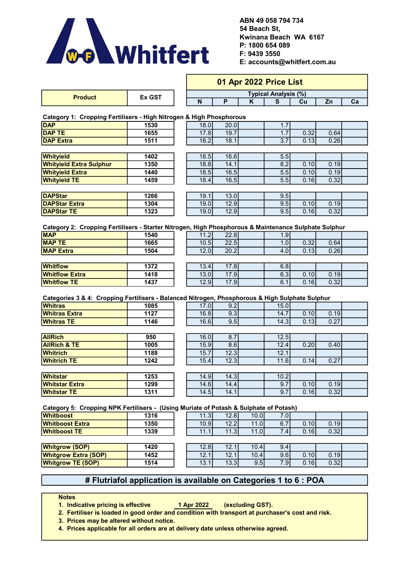

54 Beach St, ABN 49 058 794 734 E: accounts@whitfert.com.au F: 9439 3550 P: 1800 654 089 Kwinana Beach WA 6167

|                                                                                                      |        | 01 Apr 2022 Price List |      |      |                             |      |      |    |  |
|------------------------------------------------------------------------------------------------------|--------|------------------------|------|------|-----------------------------|------|------|----|--|
|                                                                                                      | Ex GST |                        |      |      | <b>Typical Analysis (%)</b> |      |      |    |  |
| <b>Product</b>                                                                                       |        | N                      | P    | K    | S                           | Cu   | Zn   | Ca |  |
| Category 1: Cropping Fertilisers - High Nitrogen & High Phosphorous                                  |        |                        |      |      |                             |      |      |    |  |
| <b>DAP</b>                                                                                           | 1530   | 18.0                   | 20.0 |      | 1.7                         |      |      |    |  |
| <b>DAP TE</b>                                                                                        | 1655   | 17.8                   | 19.7 |      | 1.7                         | 0.32 | 0.64 |    |  |
| <b>DAP Extra</b>                                                                                     | 1511   | 18.2                   | 18.1 |      | 3.7                         | 0.13 | 0.26 |    |  |
|                                                                                                      |        |                        |      |      |                             |      |      |    |  |
| Whityield                                                                                            | 1402   | 18.5                   | 16.6 |      | 5.5                         |      |      |    |  |
| <b>Whityield Extra Sulphur</b>                                                                       | 1350   | 18.8                   | 14.1 |      | 8.2                         | 0.10 | 0.19 |    |  |
| <b>Whityield Extra</b>                                                                               | 1440   | 18.5                   | 16.5 |      | 5.5                         | 0.10 | 0.19 |    |  |
| <b>Whityield TE</b>                                                                                  | 1459   | 18.4                   | 16.5 |      | 5.5                         | 0.16 | 0.32 |    |  |
|                                                                                                      |        |                        |      |      |                             |      |      |    |  |
| <b>DAPStar</b>                                                                                       | 1266   | 19.1                   | 13.0 |      | 9.5                         |      |      |    |  |
| <b>DAPStar Extra</b>                                                                                 | 1304   | 19.0                   | 12.9 |      | 9.5                         | 0.10 | 0.19 |    |  |
| <b>DAPStar TE</b>                                                                                    | 1323   | 19.0                   | 12.9 |      | 9.5                         | 0.16 | 0.32 |    |  |
|                                                                                                      |        |                        |      |      |                             |      |      |    |  |
| Category 2: Cropping Fertilisers - Starter Nitrogen, High Phosphorous & Maintenance Sulphate Sulphur |        |                        |      |      |                             |      |      |    |  |
| <b>MAP</b>                                                                                           | 1540   | 11.2                   | 22.8 |      | 1.9                         |      |      |    |  |
| <b>MAP TE</b>                                                                                        | 1665   | 10.5                   | 22.5 |      | 1.0                         | 0.32 | 0.64 |    |  |
| <b>MAP Extra</b>                                                                                     | 1504   | 12.0                   | 20.2 |      | 4.0                         | 0.13 | 0.26 |    |  |
|                                                                                                      |        |                        |      |      |                             |      |      |    |  |
| <b>Whitflow</b>                                                                                      | 1372   | 13.4                   | 17.8 |      | 6.8                         |      |      |    |  |
| <b>Whitflow Extra</b>                                                                                | 1418   | 13.0                   | 17.9 |      | 6.3                         | 0.10 | 0.19 |    |  |
| <b>Whitflow TE</b>                                                                                   | 1437   | 12.9                   | 17.9 |      | 6.1                         | 0.16 | 0.32 |    |  |
|                                                                                                      |        |                        |      |      |                             |      |      |    |  |
| Categories 3 & 4: Cropping Fertilisers - Balanced Nitrogen, Phosphorous & High Sulphate Sulphur      |        |                        |      |      |                             |      |      |    |  |
| <b>Whitras</b>                                                                                       | 1085   | 17.0                   | 9.2  |      | 15.0                        |      |      |    |  |
| <b>Whitras Extra</b>                                                                                 | 1127   | 16.8                   | 9.3  |      | 14.7                        | 0.10 | 0.19 |    |  |
| <b>Whitras TE</b>                                                                                    | 1146   | 16.6                   | 9.5  |      | 14.3                        | 0.13 | 0.27 |    |  |
|                                                                                                      |        |                        |      |      |                             |      |      |    |  |
| <b>AllRich</b>                                                                                       | 950    | 16.0                   | 8.7  |      | 12.5                        |      |      |    |  |
| <b>AllRich &amp; TE</b>                                                                              | 1005   | 15.9                   | 8.6  |      | 12.4                        | 0.20 | 0.40 |    |  |
| <b>Whitrich</b>                                                                                      | 1188   | 15.7                   | 12.3 |      | 12.1                        |      |      |    |  |
| <b>Whitrich TE</b>                                                                                   | 1242   | 15.4                   | 12.3 |      | 11.6                        | 0.14 | 0.27 |    |  |
|                                                                                                      |        |                        |      |      |                             |      |      |    |  |
| <b>Whitstar</b>                                                                                      | 1253   | 14.9                   | 14.3 |      | 10.2                        |      |      |    |  |
| <b>Whitstar Extra</b>                                                                                | 1299   | 14.6                   | 14.4 |      | 9.7                         | 0.10 | 0.19 |    |  |
| <b>Whitstar TE</b>                                                                                   | 1311   | 14.5                   | 14.1 |      | 9.7                         | 0.16 | 0.32 |    |  |
|                                                                                                      |        |                        |      |      |                             |      |      |    |  |
| Category 5: Cropping NPK Fertilisers - (Using Muriate of Potash & Sulphate of Potash)                |        |                        |      |      |                             |      |      |    |  |
| <b>Whitboost</b>                                                                                     | 1316   | 11.3                   | 12.8 | 10.0 | 7.0                         |      |      |    |  |
| <b>Whitboost Extra</b>                                                                               | 1350   | 10.9                   | 12.2 | 11.0 | 6.7                         | 0.10 | 0.19 |    |  |
| <b>Whitboost TE</b>                                                                                  | 1339   | 11.1                   | 11.3 | 11.0 | 7.4                         | 0.16 | 0.32 |    |  |
|                                                                                                      |        |                        |      |      |                             |      |      |    |  |
| <b>Whitgrow (SOP)</b>                                                                                | 1420   | 12.8                   | 12.1 | 10.4 | 9.4                         |      |      |    |  |
| <b>Whitgrow Extra (SOP)</b>                                                                          | 1452   | 12.1                   | 12.1 | 10.4 | 9.6                         | 0.10 | 0.19 |    |  |
| <b>Whitgrow TE (SOP)</b>                                                                             | 1514   | 13.1                   | 13.3 | 9.5  | 7.9                         | 0.16 | 0.32 |    |  |

## # Flutriafol application is available on Categories 1 to 6 : POA

**Notes** 

**Whitgrow TE (SOP)** 

1. Indicative pricing is effective **1 Apr 2022** (excluding GST).

2. Fertiliser is loaded in good order and condition with transport at purchaser's cost and risk.

3. Prices may be altered without notice.

4. Prices applicable for all orders are at delivery date unless otherwise agreed.